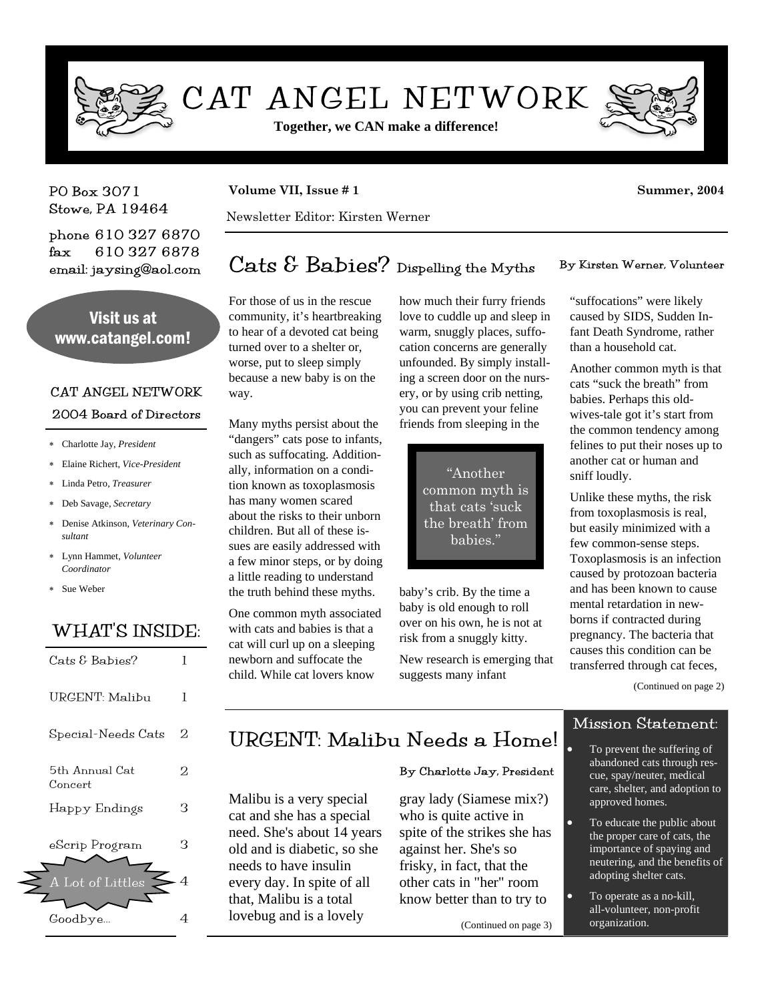

# CAT ANGEL NETWORK

**Together, we CAN make a difference!**



PO Box 3071 Stowe, PA 19464

phone 610 327 6870 fax 610 327 6878 email: jaysing@aol.com

Visit us at www.catangel.com!

### CAT ANGEL NETWORK

### 2004 Board of Directors

- ∗ Charlotte Jay, *President*
- ∗ Elaine Richert, *Vice-President*
- ∗ Linda Petro, *Treasurer*
- ∗ Deb Savage, *Secretary*
- ∗ Denise Atkinson, *Veterinary Consultant*
- ∗ Lynn Hammet, *Volunteer Coordinator*
- ∗ Sue Weber

## WHAT'S INSIDE:

| Cats & Babies?                     |    |
|------------------------------------|----|
| URGENT: Malibu                     | L  |
| Special-Needs Cats                 | ソ  |
| 5th Annual Cat<br>$_{\rm Concert}$ | ソ  |
| Happy Endings                      | R  |
| eScrip Program                     | '3 |
| A Lot of Littles                   |    |
| Goodbye                            |    |

### **Volume VII, Issue # 1** Summer, 2004

Newsletter Editor: Kirsten Werner

## Cats  $\mathcal E$  Babies? Dispelling the Myths By Kirsten Werner, Volunteer

For those of us in the rescue community, it's heartbreaking to hear of a devoted cat being turned over to a shelter or, worse, put to sleep simply because a new baby is on the way.

Many myths persist about the "dangers" cats pose to infants, such as suffocating. Additionally, information on a condition known as toxoplasmosis has many women scared about the risks to their unborn children. But all of these issues are easily addressed with a few minor steps, or by doing a little reading to understand the truth behind these myths.

One common myth associated with cats and babies is that a cat will curl up on a sleeping newborn and suffocate the child. While cat lovers know

how much their furry friends love to cuddle up and sleep in warm, snuggly places, suffocation concerns are generally unfounded. By simply installing a screen door on the nursery, or by using crib netting, you can prevent your feline friends from sleeping in the

> "Another common myth is that cats 'suck the breath' from babies."

baby's crib. By the time a baby is old enough to roll over on his own, he is not at risk from a snuggly kitty.

New research is emerging that suggests many infant

"suffocations" were likely caused by SIDS, Sudden Infant Death Syndrome, rather than a household cat.

Another common myth is that cats "suck the breath" from babies. Perhaps this oldwives-tale got it's start from the common tendency among felines to put their noses up to another cat or human and sniff loudly.

Unlike these myths, the risk from toxoplasmosis is real, but easily minimized with a few common-sense steps. Toxoplasmosis is an infection caused by protozoan bacteria and has been known to cause mental retardation in newborns if contracted during pregnancy. The bacteria that causes this condition can be transferred through cat feces,

(Continued on page 2)

### Mission Statement:

## URGENT: Malibu Needs a Home!

### By Charlotte Jay, President

Malibu is a very special cat and she has a special need. She's about 14 years old and is diabetic, so she needs to have insulin every day. In spite of all that, Malibu is a total lovebug and is a lovely gray lady (Siamese mix?) who is quite active in spite of the strikes she has against her. She's so frisky, in fact, that the other cats in "her" room know better than to try to

(Continued on page 3)

To prevent the suffering of abandoned cats through rescue, spay/neuter, medical care, shelter, and adoption to approved homes.

- To educate the public about the proper care of cats, the importance of spaying and neutering, and the benefits of adopting shelter cats.
- To operate as a no-kill, all-volunteer, non-profit organization.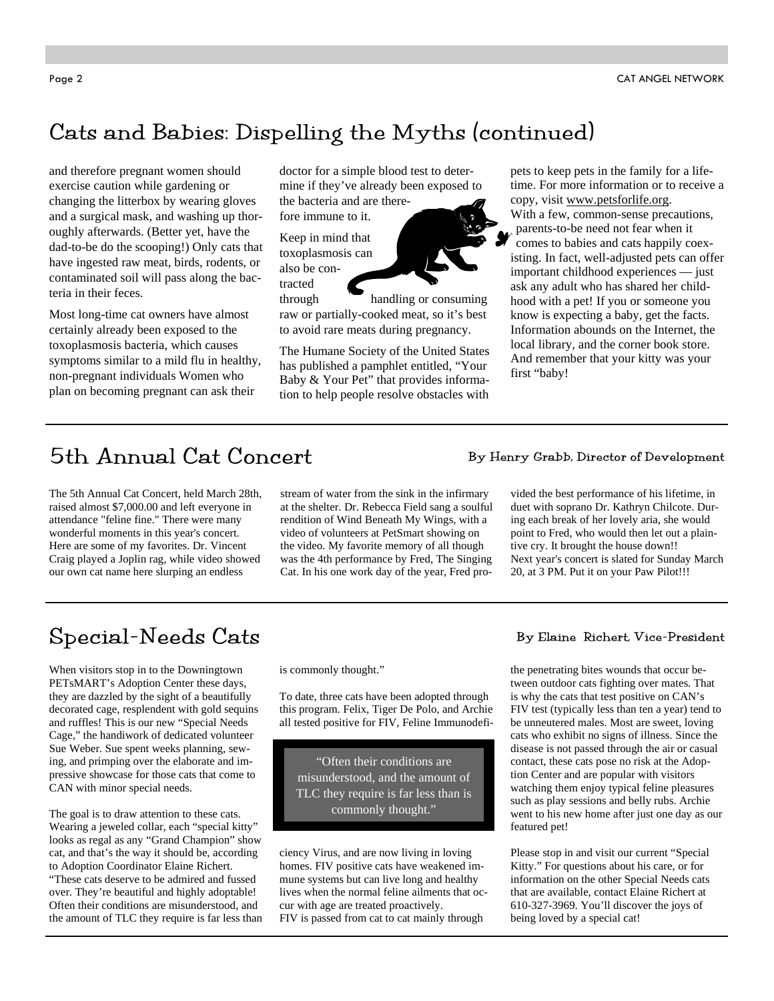## Cats and Babies: Dispelling the Myths (continued)

and therefore pregnant women should exercise caution while gardening or changing the litterbox by wearing gloves and a surgical mask, and washing up thoroughly afterwards. (Better yet, have the dad-to-be do the scooping!) Only cats that have ingested raw meat, birds, rodents, or contaminated soil will pass along the bacteria in their feces.

Most long-time cat owners have almost certainly already been exposed to the toxoplasmosis bacteria, which causes symptoms similar to a mild flu in healthy, non-pregnant individuals Women who plan on becoming pregnant can ask their

doctor for a simple blood test to determine if they've already been exposed to the bacteria and are therefore immune to it.

Keep in mind that toxoplasmosis can also be contracted

through handling or consuming raw or partially-cooked meat, so it's best to avoid rare meats during pregnancy.

The Humane Society of the United States has published a pamphlet entitled, "Your Baby & Your Pet" that provides information to help people resolve obstacles with pets to keep pets in the family for a lifetime. For more information or to receive a copy, visit www.petsforlife.org.

With a few, common-sense precautions, parents-to-be need not fear when it comes to babies and cats happily coexisting. In fact, well-adjusted pets can offer important childhood experiences — just ask any adult who has shared her childhood with a pet! If you or someone you know is expecting a baby, get the facts. Information abounds on the Internet, the local library, and the corner book store. And remember that your kitty was your first "baby!

## 5th Annual Cat Concert By Henry Grabb, Director of Development

The 5th Annual Cat Concert, held March 28th, raised almost \$7,000.00 and left everyone in attendance "feline fine." There were many wonderful moments in this year's concert. Here are some of my favorites. Dr. Vincent Craig played a Joplin rag, while video showed our own cat name here slurping an endless

stream of water from the sink in the infirmary at the shelter. Dr. Rebecca Field sang a soulful rendition of Wind Beneath My Wings, with a video of volunteers at PetSmart showing on the video. My favorite memory of all though was the 4th performance by Fred, The Singing Cat. In his one work day of the year, Fred pro-

vided the best performance of his lifetime, in duet with soprano Dr. Kathryn Chilcote. During each break of her lovely aria, she would point to Fred, who would then let out a plaintive cry. It brought the house down!! Next year's concert is slated for Sunday March 20, at 3 PM. Put it on your Paw Pilot!!!

## $Special-Needs$   $Cats$   $By$   $Elan$   $Richert$ ,  $Vice-President$

When visitors stop in to the Downingtown PETsMART's Adoption Center these days, they are dazzled by the sight of a beautifully decorated cage, resplendent with gold sequins and ruffles! This is our new "Special Needs Cage," the handiwork of dedicated volunteer Sue Weber. Sue spent weeks planning, sewing, and primping over the elaborate and impressive showcase for those cats that come to CAN with minor special needs.

The goal is to draw attention to these cats. Wearing a jeweled collar, each "special kitty" looks as regal as any "Grand Champion" show cat, and that's the way it should be, according to Adoption Coordinator Elaine Richert. "These cats deserve to be admired and fussed over. They're beautiful and highly adoptable! Often their conditions are misunderstood, and the amount of TLC they require is far less than is commonly thought."

To date, three cats have been adopted through this program. Felix, Tiger De Polo, and Archie all tested positive for FIV, Feline Immunodefi-

"Often their conditions are misunderstood, and the amount of TLC they require is far less than is commonly thought."

ciency Virus, and are now living in loving homes. FIV positive cats have weakened immune systems but can live long and healthy lives when the normal feline ailments that occur with age are treated proactively. FIV is passed from cat to cat mainly through

the penetrating bites wounds that occur between outdoor cats fighting over mates. That is why the cats that test positive on CAN's FIV test (typically less than ten a year) tend to be unneutered males. Most are sweet, loving cats who exhibit no signs of illness. Since the disease is not passed through the air or casual contact, these cats pose no risk at the Adoption Center and are popular with visitors watching them enjoy typical feline pleasures such as play sessions and belly rubs. Archie went to his new home after just one day as our featured pet!

Please stop in and visit our current "Special Kitty." For questions about his care, or for information on the other Special Needs cats that are available, contact Elaine Richert at 610-327-3969. You'll discover the joys of being loved by a special cat!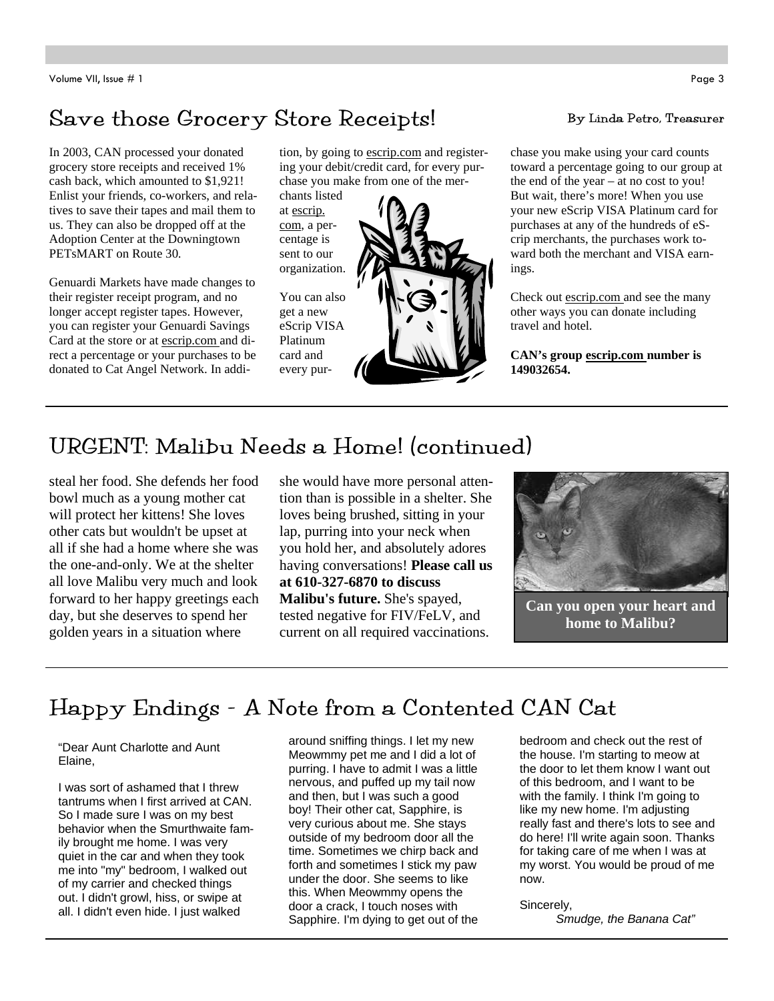## Save those Grocery Store Receipts! By Linda Petro, Treasurer

In 2003, CAN processed your donated grocery store receipts and received 1% cash back, which amounted to \$1,921! Enlist your friends, co-workers, and relatives to save their tapes and mail them to us. They can also be dropped off at the Adoption Center at the Downingtown PETsMART on Route 30.

Genuardi Markets have made changes to their register receipt program, and no longer accept register tapes. However, you can register your Genuardi Savings Card at the store or at escrip.com and direct a percentage or your purchases to be donated to Cat Angel Network. In addition, by going to escrip.com and registering your debit/credit card, for every purchase you make from one of the mer-

chants listed at escrip. com, a percentage is sent to our organization.

You can also get a new eScrip VISA Platinum card and every pur-



chase you make using your card counts toward a percentage going to our group at the end of the year – at no cost to you! But wait, there's more! When you use your new eScrip VISA Platinum card for purchases at any of the hundreds of eScrip merchants, the purchases work toward both the merchant and VISA earnings.

Check out escrip.com and see the many other ways you can donate including travel and hotel.

**CAN's group escrip.com number is 149032654.** 

## URGENT: Malibu Needs a Home! (continued)

steal her food. She defends her food bowl much as a young mother cat will protect her kittens! She loves other cats but wouldn't be upset at all if she had a home where she was the one-and-only. We at the shelter all love Malibu very much and look forward to her happy greetings each day, but she deserves to spend her golden years in a situation where

she would have more personal attention than is possible in a shelter. She loves being brushed, sitting in your lap, purring into your neck when you hold her, and absolutely adores having conversations! **Please call us at 610-327-6870 to discuss Malibu's future.** She's spayed, tested negative for FIV/FeLV, and current on all required vaccinations.



**Can you open your heart and home to Malibu?** 

## Happy Endings - A Note from a Contented CAN Cat

"Dear Aunt Charlotte and Aunt Elaine,

I was sort of ashamed that I threw tantrums when I first arrived at CAN. So I made sure I was on my best behavior when the Smurthwaite family brought me home. I was very quiet in the car and when they took me into "my" bedroom, I walked out of my carrier and checked things out. I didn't growl, hiss, or swipe at all. I didn't even hide. I just walked

around sniffing things. I let my new Meowmmy pet me and I did a lot of purring. I have to admit I was a little nervous, and puffed up my tail now and then, but I was such a good boy! Their other cat, Sapphire, is very curious about me. She stays outside of my bedroom door all the time. Sometimes we chirp back and forth and sometimes I stick my paw under the door. She seems to like this. When Meowmmy opens the door a crack, I touch noses with Sapphire. I'm dying to get out of the

bedroom and check out the rest of the house. I'm starting to meow at the door to let them know I want out of this bedroom, and I want to be with the family. I think I'm going to like my new home. I'm adjusting really fast and there's lots to see and do here! I'll write again soon. Thanks for taking care of me when I was at my worst. You would be proud of me now.

Sincerely,

*Smudge, the Banana Cat"*